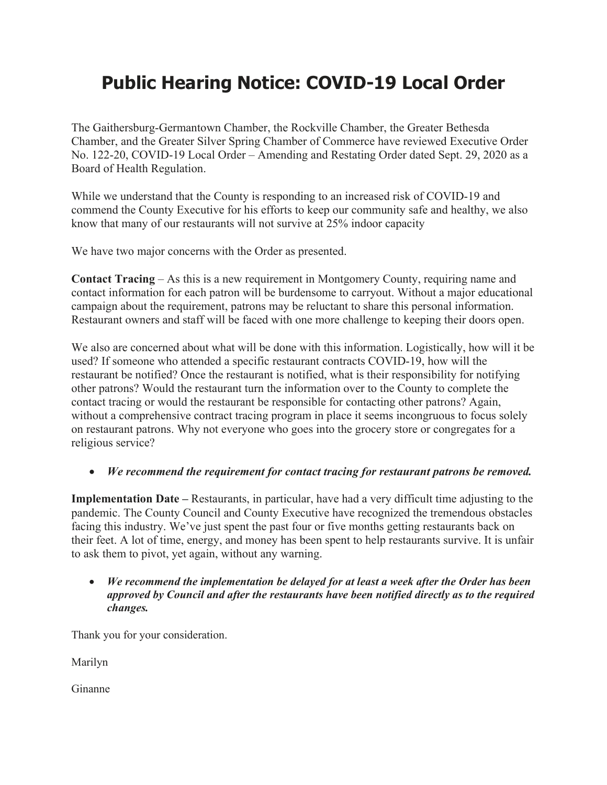## **Public Hearing Notice: COVID-19 Local Order**

The Gaithersburg-Germantown Chamber, the Rockville Chamber, the Greater Bethesda Chamber, and the Greater Silver Spring Chamber of Commerce have reviewed Executive Order No. 122-20, COVID-19 Local Order – Amending and Restating Order dated Sept. 29, 2020 as a Board of Health Regulation.

While we understand that the County is responding to an increased risk of COVID-19 and commend the County Executive for his efforts to keep our community safe and healthy, we also know that many of our restaurants will not survive at 25% indoor capacity

We have two major concerns with the Order as presented.

**Contact Tracing** – As this is a new requirement in Montgomery County, requiring name and contact information for each patron will be burdensome to carryout. Without a major educational campaign about the requirement, patrons may be reluctant to share this personal information. Restaurant owners and staff will be faced with one more challenge to keeping their doors open.

We also are concerned about what will be done with this information. Logistically, how will it be used? If someone who attended a specific restaurant contracts COVID-19, how will the restaurant be notified? Once the restaurant is notified, what is their responsibility for notifying other patrons? Would the restaurant turn the information over to the County to complete the contact tracing or would the restaurant be responsible for contacting other patrons? Again, without a comprehensive contract tracing program in place it seems incongruous to focus solely on restaurant patrons. Why not everyone who goes into the grocery store or congregates for a religious service?

## • *We recommend the requirement for contact tracing for restaurant patrons be removed.*

**Implementation Date –** Restaurants, in particular, have had a very difficult time adjusting to the pandemic. The County Council and County Executive have recognized the tremendous obstacles facing this industry. We've just spent the past four or five months getting restaurants back on their feet. A lot of time, energy, and money has been spent to help restaurants survive. It is unfair to ask them to pivot, yet again, without any warning.

## • *We recommend the implementation be delayed for at least a week after the Order has been approved by Council and after the restaurants have been notified directly as to the required changes.*

Thank you for your consideration.

Marilyn

Ginanne